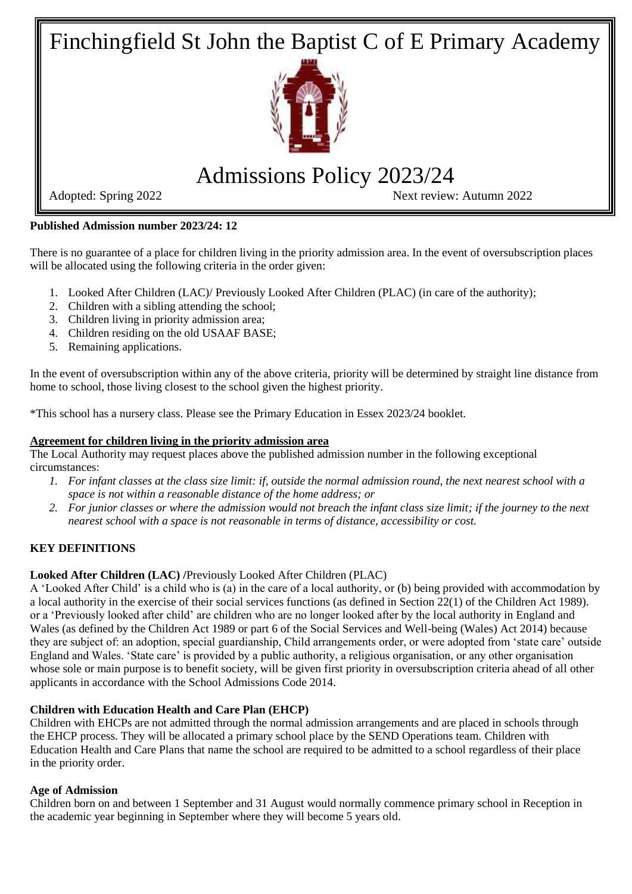Finchingfield St John the Baptist C of E Primary Academy



# Admissions Policy 2023/24

Adopted: Spring 2022 Next review: Autumn 2022

**Published Admission number 2023/24: 12**

There is no guarantee of a place for children living in the priority admission area. In the event of oversubscription places will be allocated using the following criteria in the order given:

- 1. Looked After Children (LAC)/ Previously Looked After Children (PLAC) (in care of the authority);
- 2. Children with a sibling attending the school;
- 3. Children living in priority admission area;
- 4. Children residing on the old USAAF BASE;
- 5. Remaining applications.

In the event of oversubscription within any of the above criteria, priority will be determined by straight line distance from home to school, those living closest to the school given the highest priority.

\*This school has a nursery class. Please see the Primary Education in Essex 2023/24 booklet.

# **Agreement for children living in the priority admission area**

The Local Authority may request places above the published admission number in the following exceptional circumstances:

- *1. For infant classes at the class size limit: if, outside the normal admission round, the next nearest school with a space is not within a reasonable distance of the home address; or*
- *2. For junior classes or where the admission would not breach the infant class size limit; if the journey to the next nearest school with a space is not reasonable in terms of distance, accessibility or cost.*

# **KEY DEFINITIONS**

# **Looked After Children (LAC) /**Previously Looked After Children (PLAC)

A 'Looked After Child' is a child who is (a) in the care of a local authority, or (b) being provided with accommodation by a local authority in the exercise of their social services functions (as defined in Section 22(1) of the Children Act 1989). or a 'Previously looked after child' are children who are no longer looked after by the local authority in England and Wales (as defined by the Children Act 1989 or part 6 of the Social Services and Well-being (Wales) Act 2014) because they are subject of: an adoption, special guardianship, Child arrangements order, or were adopted from 'state care' outside England and Wales. 'State care' is provided by a public authority, a religious organisation, or any other organisation whose sole or main purpose is to benefit society, will be given first priority in oversubscription criteria ahead of all other applicants in accordance with the School Admissions Code 2014.

# **Children with Education Health and Care Plan (EHCP)**

Children with EHCPs are not admitted through the normal admission arrangements and are placed in schools through the EHCP process. They will be allocated a primary school place by the SEND Operations team. Children with Education Health and Care Plans that name the school are required to be admitted to a school regardless of their place in the priority order.

## **Age of Admission**

Children born on and between 1 September and 31 August would normally commence primary school in Reception in the academic year beginning in September where they will become 5 years old.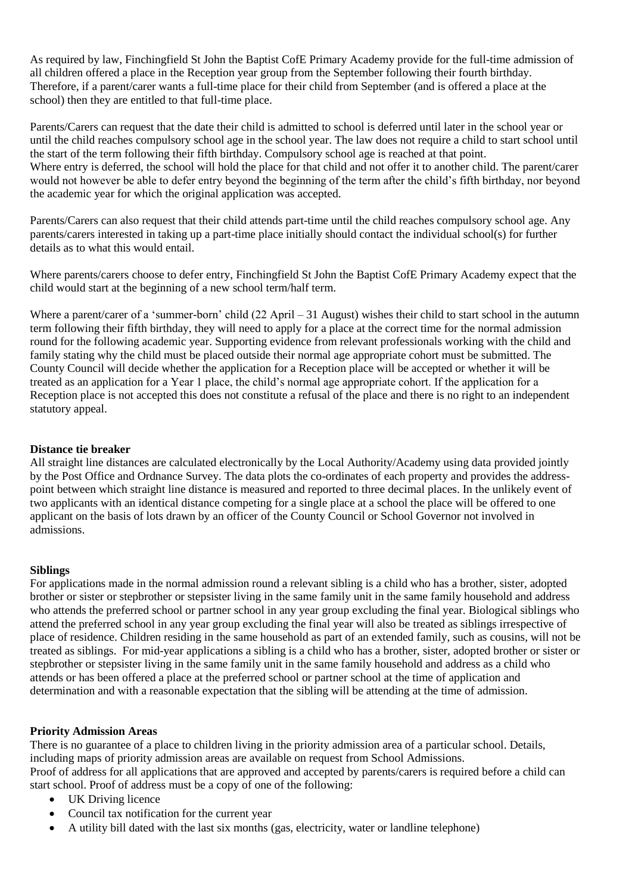As required by law, Finchingfield St John the Baptist CofE Primary Academy provide for the full-time admission of all children offered a place in the Reception year group from the September following their fourth birthday. Therefore, if a parent/carer wants a full-time place for their child from September (and is offered a place at the school) then they are entitled to that full-time place.

Parents/Carers can request that the date their child is admitted to school is deferred until later in the school year or until the child reaches compulsory school age in the school year. The law does not require a child to start school until the start of the term following their fifth birthday. Compulsory school age is reached at that point. Where entry is deferred, the school will hold the place for that child and not offer it to another child. The parent/carer would not however be able to defer entry beyond the beginning of the term after the child's fifth birthday, nor beyond the academic year for which the original application was accepted.

Parents/Carers can also request that their child attends part-time until the child reaches compulsory school age. Any parents/carers interested in taking up a part-time place initially should contact the individual school(s) for further details as to what this would entail.

Where parents/carers choose to defer entry, Finchingfield St John the Baptist CofE Primary Academy expect that the child would start at the beginning of a new school term/half term.

Where a parent/carer of a 'summer-born' child (22 April – 31 August) wishes their child to start school in the autumn term following their fifth birthday, they will need to apply for a place at the correct time for the normal admission round for the following academic year. Supporting evidence from relevant professionals working with the child and family stating why the child must be placed outside their normal age appropriate cohort must be submitted. The County Council will decide whether the application for a Reception place will be accepted or whether it will be treated as an application for a Year 1 place, the child's normal age appropriate cohort. If the application for a Reception place is not accepted this does not constitute a refusal of the place and there is no right to an independent statutory appeal.

#### **Distance tie breaker**

All straight line distances are calculated electronically by the Local Authority/Academy using data provided jointly by the Post Office and Ordnance Survey. The data plots the co-ordinates of each property and provides the addresspoint between which straight line distance is measured and reported to three decimal places. In the unlikely event of two applicants with an identical distance competing for a single place at a school the place will be offered to one applicant on the basis of lots drawn by an officer of the County Council or School Governor not involved in admissions.

#### **Siblings**

For applications made in the normal admission round a relevant sibling is a child who has a brother, sister, adopted brother or sister or stepbrother or stepsister living in the same family unit in the same family household and address who attends the preferred school or partner school in any year group excluding the final year. Biological siblings who attend the preferred school in any year group excluding the final year will also be treated as siblings irrespective of place of residence. Children residing in the same household as part of an extended family, such as cousins, will not be treated as siblings. For mid-year applications a sibling is a child who has a brother, sister, adopted brother or sister or stepbrother or stepsister living in the same family unit in the same family household and address as a child who attends or has been offered a place at the preferred school or partner school at the time of application and determination and with a reasonable expectation that the sibling will be attending at the time of admission.

## **Priority Admission Areas**

There is no guarantee of a place to children living in the priority admission area of a particular school. Details, including maps of priority admission areas are available on request from School Admissions. Proof of address for all applications that are approved and accepted by parents/carers is required before a child can start school. Proof of address must be a copy of one of the following:

- UK Driving licence
- Council tax notification for the current year
- A utility bill dated with the last six months (gas, electricity, water or landline telephone)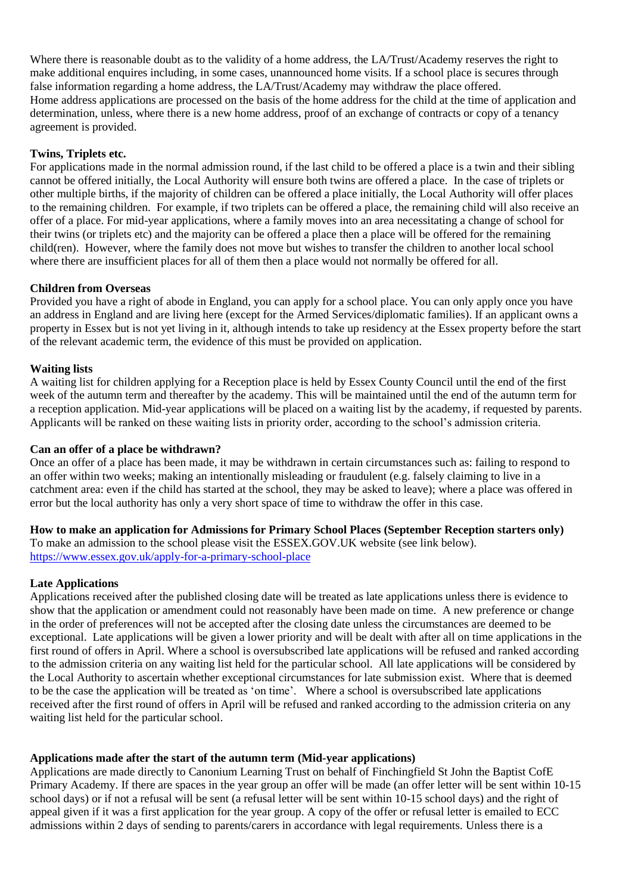Where there is reasonable doubt as to the validity of a home address, the LA/Trust/Academy reserves the right to make additional enquires including, in some cases, unannounced home visits. If a school place is secures through false information regarding a home address, the LA/Trust/Academy may withdraw the place offered. Home address applications are processed on the basis of the home address for the child at the time of application and determination, unless, where there is a new home address, proof of an exchange of contracts or copy of a tenancy agreement is provided.

#### **Twins, Triplets etc.**

For applications made in the normal admission round, if the last child to be offered a place is a twin and their sibling cannot be offered initially, the Local Authority will ensure both twins are offered a place. In the case of triplets or other multiple births, if the majority of children can be offered a place initially, the Local Authority will offer places to the remaining children. For example, if two triplets can be offered a place, the remaining child will also receive an offer of a place. For mid-year applications, where a family moves into an area necessitating a change of school for their twins (or triplets etc) and the majority can be offered a place then a place will be offered for the remaining child(ren). However, where the family does not move but wishes to transfer the children to another local school where there are insufficient places for all of them then a place would not normally be offered for all.

#### **Children from Overseas**

Provided you have a right of abode in England, you can apply for a school place. You can only apply once you have an address in England and are living here (except for the Armed Services/diplomatic families). If an applicant owns a property in Essex but is not yet living in it, although intends to take up residency at the Essex property before the start of the relevant academic term, the evidence of this must be provided on application.

#### **Waiting lists**

A waiting list for children applying for a Reception place is held by Essex County Council until the end of the first week of the autumn term and thereafter by the academy. This will be maintained until the end of the autumn term for a reception application. Mid-year applications will be placed on a waiting list by the academy, if requested by parents. Applicants will be ranked on these waiting lists in priority order, according to the school's admission criteria.

#### **Can an offer of a place be withdrawn?**

Once an offer of a place has been made, it may be withdrawn in certain circumstances such as: failing to respond to an offer within two weeks; making an intentionally misleading or fraudulent (e.g. falsely claiming to live in a catchment area: even if the child has started at the school, they may be asked to leave); where a place was offered in error but the local authority has only a very short space of time to withdraw the offer in this case.

## **How to make an application for Admissions for Primary School Places (September Reception starters only)**

To make an admission to the school please visit the ESSEX.GOV.UK website (see link below). <https://www.essex.gov.uk/apply-for-a-primary-school-place>

#### **Late Applications**

Applications received after the published closing date will be treated as late applications unless there is evidence to show that the application or amendment could not reasonably have been made on time. A new preference or change in the order of preferences will not be accepted after the closing date unless the circumstances are deemed to be exceptional. Late applications will be given a lower priority and will be dealt with after all on time applications in the first round of offers in April. Where a school is oversubscribed late applications will be refused and ranked according to the admission criteria on any waiting list held for the particular school. All late applications will be considered by the Local Authority to ascertain whether exceptional circumstances for late submission exist. Where that is deemed to be the case the application will be treated as 'on time'. Where a school is oversubscribed late applications received after the first round of offers in April will be refused and ranked according to the admission criteria on any waiting list held for the particular school.

## **Applications made after the start of the autumn term (Mid-year applications)**

Applications are made directly to Canonium Learning Trust on behalf of Finchingfield St John the Baptist CofE Primary Academy. If there are spaces in the year group an offer will be made (an offer letter will be sent within 10-15 school days) or if not a refusal will be sent (a refusal letter will be sent within 10-15 school days) and the right of appeal given if it was a first application for the year group. A copy of the offer or refusal letter is emailed to ECC admissions within 2 days of sending to parents/carers in accordance with legal requirements. Unless there is a